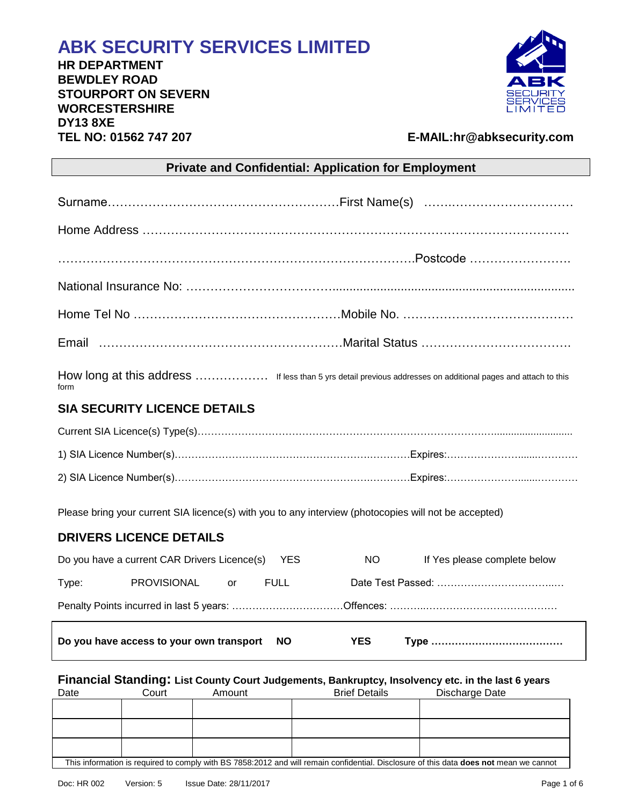# **ABK SECURITY SERVICES LIMITED**

**HR DEPARTMENT BEWDLEY ROAD STOURPORT ON SEVERN WORCESTERSHIRE DY13 8XE TEL NO: 01562 747 207 E-MAIL:hr@abksecurity.com** 



| <b>Private and Confidential: Application for Employment</b>                                                           |             |            |                              |
|-----------------------------------------------------------------------------------------------------------------------|-------------|------------|------------------------------|
|                                                                                                                       |             |            |                              |
|                                                                                                                       |             |            |                              |
|                                                                                                                       |             |            |                              |
|                                                                                                                       |             |            |                              |
|                                                                                                                       |             |            |                              |
|                                                                                                                       |             |            |                              |
| How long at this address  If less than 5 yrs detail previous addresses on additional pages and attach to this<br>form |             |            |                              |
| <b>SIA SECURITY LICENCE DETAILS</b>                                                                                   |             |            |                              |
|                                                                                                                       |             |            |                              |
|                                                                                                                       |             |            |                              |
|                                                                                                                       |             |            |                              |
| Please bring your current SIA licence(s) with you to any interview (photocopies will not be accepted)                 |             |            |                              |
| <b>DRIVERS LICENCE DETAILS</b>                                                                                        |             |            |                              |
| Do you have a current CAR Drivers Licence(s)                                                                          | YES         | NO.        | If Yes please complete below |
| <b>PROVISIONAL</b><br>Type:<br>or                                                                                     | <b>FULL</b> |            |                              |
|                                                                                                                       |             |            |                              |
| Do you have access to your own transport                                                                              | <b>NO</b>   | <b>YES</b> |                              |
|                                                                                                                       |             |            |                              |

# **Financial Standing: List County Court Judgements, Bankruptcy, Insolvency etc. in the last 6 years**

| Date                                                                                                                                   | Court | Amount | <b>Brief Details</b> | Discharge Date |
|----------------------------------------------------------------------------------------------------------------------------------------|-------|--------|----------------------|----------------|
|                                                                                                                                        |       |        |                      |                |
|                                                                                                                                        |       |        |                      |                |
|                                                                                                                                        |       |        |                      |                |
|                                                                                                                                        |       |        |                      |                |
|                                                                                                                                        |       |        |                      |                |
|                                                                                                                                        |       |        |                      |                |
| This information is required to comply with BS 7858:2012 and will remain confidential. Disclosure of this data does not mean we cannot |       |        |                      |                |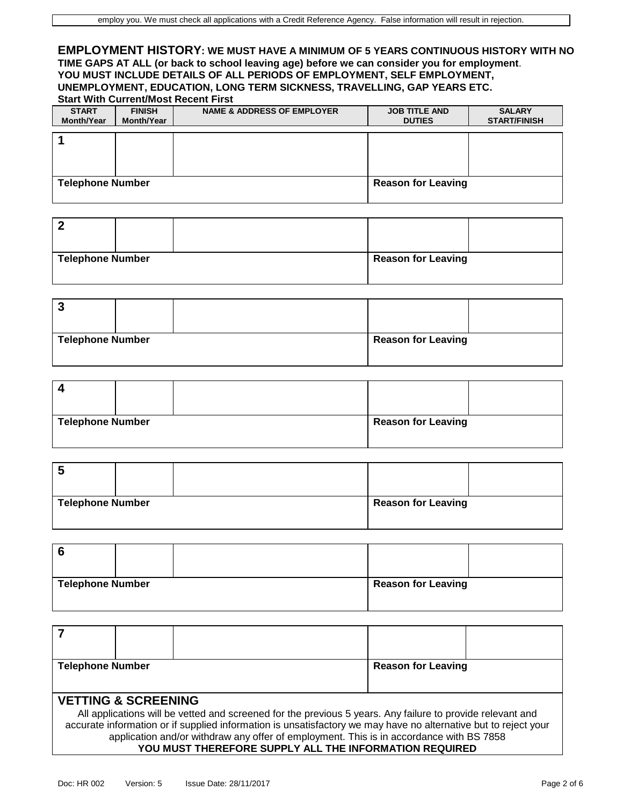#### **EMPLOYMENT HISTORY: WE MUST HAVE A MINIMUM OF 5 YEARS CONTINUOUS HISTORY WITH NO TIME GAPS AT ALL (or back to school leaving age) before we can consider you for employment**. **YOU MUST INCLUDE DETAILS OF ALL PERIODS OF EMPLOYMENT, SELF EMPLOYMENT, UNEMPLOYMENT, EDUCATION, LONG TERM SICKNESS, TRAVELLING, GAP YEARS ETC. Start With Current/Most Recent First**

| <b>START</b><br><b>Month/Year</b> | <b>FINISH</b><br><b>Month/Year</b> | <b>NAME &amp; ADDRESS OF EMPLOYER</b> | <b>JOB TITLE AND</b><br><b>DUTIES</b> | <b>SALARY</b><br><b>START/FINISH</b> |
|-----------------------------------|------------------------------------|---------------------------------------|---------------------------------------|--------------------------------------|
|                                   |                                    |                                       |                                       |                                      |
|                                   |                                    |                                       |                                       |                                      |
| <b>Telephone Number</b>           |                                    |                                       | <b>Reason for Leaving</b>             |                                      |

| <b>Telephone Number</b> |  | <b>Reason for Leaving</b> |  |
|-------------------------|--|---------------------------|--|

| <b>Telephone Number</b> |  | <b>Reason for Leaving</b> |  |
|-------------------------|--|---------------------------|--|

| $\epsilon$              |  |                           |  |
|-------------------------|--|---------------------------|--|
| <b>Telephone Number</b> |  | <b>Reason for Leaving</b> |  |

| b                       |  |                           |  |
|-------------------------|--|---------------------------|--|
| <b>Telephone Number</b> |  | <b>Reason for Leaving</b> |  |

| 6                       |  |                           |  |
|-------------------------|--|---------------------------|--|
| <b>Telephone Number</b> |  | <b>Reason for Leaving</b> |  |

| <b>Telephone Number</b>        |                                                                                                                 | <b>Reason for Leaving</b> |  |
|--------------------------------|-----------------------------------------------------------------------------------------------------------------|---------------------------|--|
|                                |                                                                                                                 |                           |  |
| <b>VETTING &amp; SCREENING</b> |                                                                                                                 |                           |  |
|                                | All applications will be vetted and screened for the previous 5 years. Any failure to provide relevant and      |                           |  |
|                                | accurate information or if supplied information is unsatisfactory we may have no alternative but to reject your |                           |  |
|                                | application and/or withdraw any offer of employment. This is in accordance with BS 7858                         |                           |  |

**YOU MUST THEREFORE SUPPLY ALL THE INFORMATION REQUIRED**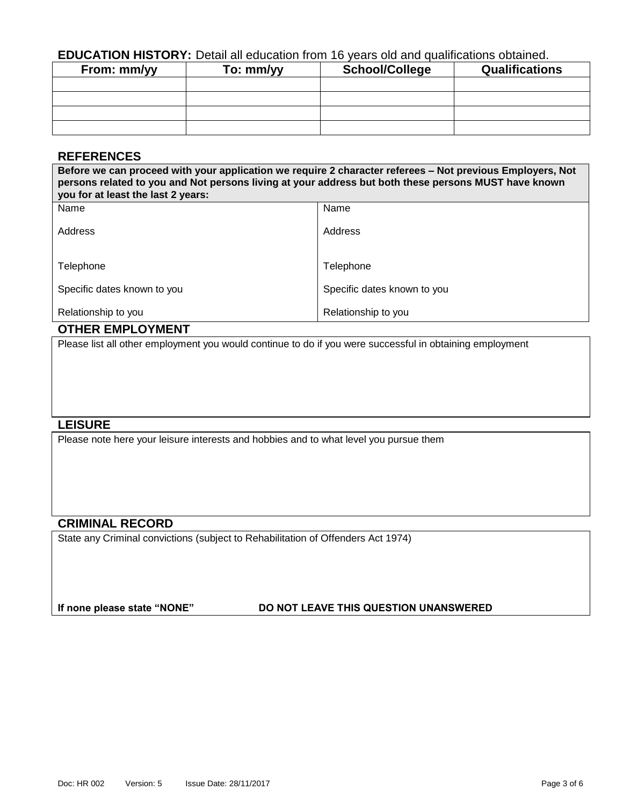# **EDUCATION HISTORY:** Detail all education from 16 years old and qualifications obtained.

| From: mm/yy | To: mm/yy | <b>School/College</b> | <b>Qualifications</b> |
|-------------|-----------|-----------------------|-----------------------|
|             |           |                       |                       |
|             |           |                       |                       |
|             |           |                       |                       |
|             |           |                       |                       |

# **REFERENCES**

**Before we can proceed with your application we require 2 character referees – Not previous Employers, Not persons related to you and Not persons living at your address but both these persons MUST have known you for at least the last 2 years:** Name Address Telephone Specific dates known to you Relationship to you Name Address **Telephone** Specific dates known to you Relationship to you

# **OTHER EMPLOYMENT**

Please list all other employment you would continue to do if you were successful in obtaining employment

### **LEISURE**

Please note here your leisure interests and hobbies and to what level you pursue them

# **CRIMINAL RECORD**

State any Criminal convictions (subject to Rehabilitation of Offenders Act 1974)

#### **If none please state "NONE" DO NOT LEAVE THIS QUESTION UNANSWERED**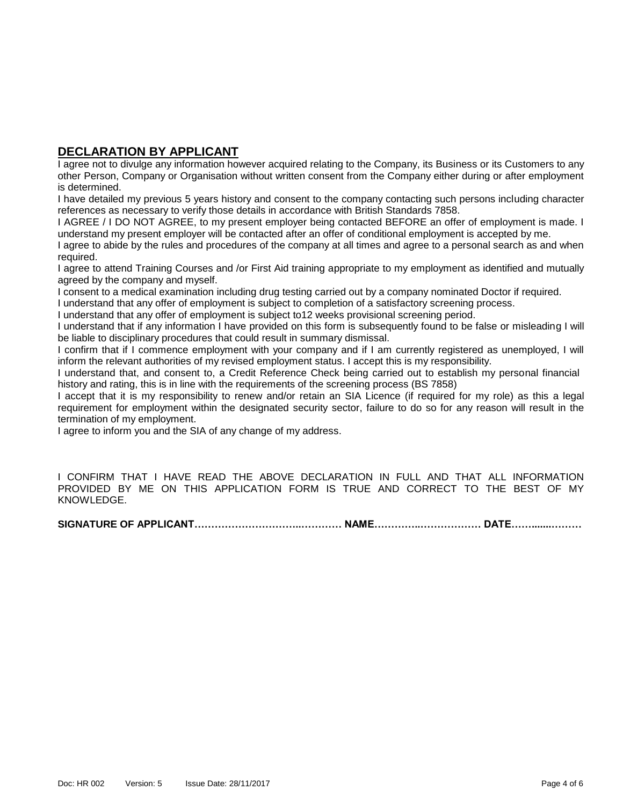# **DECLARATION BY APPLICANT**

I agree not to divulge any information however acquired relating to the Company, its Business or its Customers to any other Person, Company or Organisation without written consent from the Company either during or after employment is determined.

I have detailed my previous 5 years history and consent to the company contacting such persons including character references as necessary to verify those details in accordance with British Standards 7858.

I AGREE / I DO NOT AGREE, to my present employer being contacted BEFORE an offer of employment is made. I understand my present employer will be contacted after an offer of conditional employment is accepted by me.

I agree to abide by the rules and procedures of the company at all times and agree to a personal search as and when required.

I agree to attend Training Courses and /or First Aid training appropriate to my employment as identified and mutually agreed by the company and myself.

I consent to a medical examination including drug testing carried out by a company nominated Doctor if required.

I understand that any offer of employment is subject to completion of a satisfactory screening process.

I understand that any offer of employment is subject to12 weeks provisional screening period.

I understand that if any information I have provided on this form is subsequently found to be false or misleading I will be liable to disciplinary procedures that could result in summary dismissal.

I confirm that if I commence employment with your company and if I am currently registered as unemployed, I will inform the relevant authorities of my revised employment status. I accept this is my responsibility.

I understand that, and consent to, a Credit Reference Check being carried out to establish my personal financial history and rating, this is in line with the requirements of the screening process (BS 7858)

I accept that it is my responsibility to renew and/or retain an SIA Licence (if required for my role) as this a legal requirement for employment within the designated security sector, failure to do so for any reason will result in the termination of my employment.

I agree to inform you and the SIA of any change of my address.

I CONFIRM THAT I HAVE READ THE ABOVE DECLARATION IN FULL AND THAT ALL INFORMATION PROVIDED BY ME ON THIS APPLICATION FORM IS TRUE AND CORRECT TO THE BEST OF MY KNOWLEDGE.

**SIGNATURE OF APPLICANT…………………………..………… NAME…………..……………… DATE…….......………**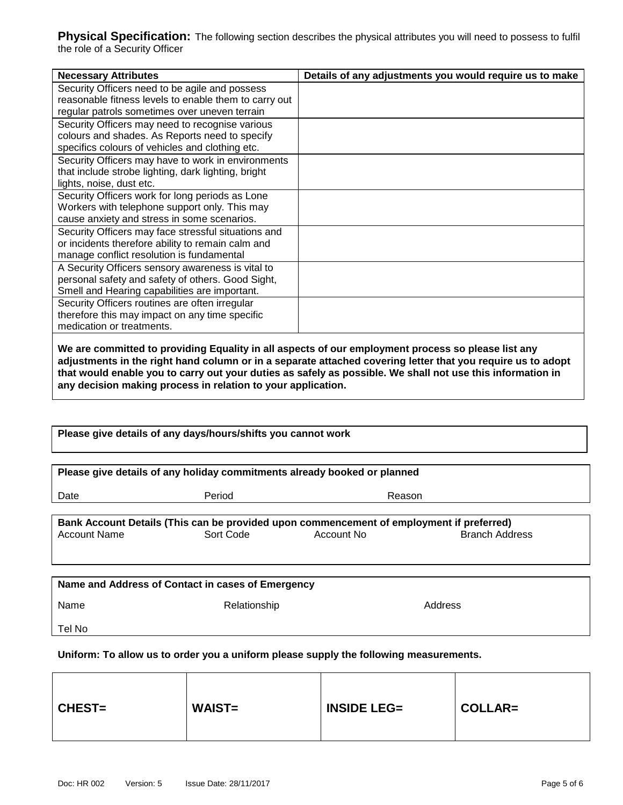**Physical Specification:** The following section describes the physical attributes you will need to possess to fulfil the role of a Security Officer

| <b>Necessary Attributes</b>                           | Details of any adjustments you would require us to make |
|-------------------------------------------------------|---------------------------------------------------------|
| Security Officers need to be agile and possess        |                                                         |
| reasonable fitness levels to enable them to carry out |                                                         |
| regular patrols sometimes over uneven terrain         |                                                         |
| Security Officers may need to recognise various       |                                                         |
| colours and shades. As Reports need to specify        |                                                         |
| specifics colours of vehicles and clothing etc.       |                                                         |
| Security Officers may have to work in environments    |                                                         |
| that include strobe lighting, dark lighting, bright   |                                                         |
| lights, noise, dust etc.                              |                                                         |
| Security Officers work for long periods as Lone       |                                                         |
| Workers with telephone support only. This may         |                                                         |
| cause anxiety and stress in some scenarios.           |                                                         |
| Security Officers may face stressful situations and   |                                                         |
| or incidents therefore ability to remain calm and     |                                                         |
| manage conflict resolution is fundamental             |                                                         |
| A Security Officers sensory awareness is vital to     |                                                         |
| personal safety and safety of others. Good Sight,     |                                                         |
| Smell and Hearing capabilities are important.         |                                                         |
| Security Officers routines are often irregular        |                                                         |
| therefore this may impact on any time specific        |                                                         |
| medication or treatments.                             |                                                         |
|                                                       |                                                         |

**We are committed to providing Equality in all aspects of our employment process so please list any adjustments in the right hand column or in a separate attached covering letter that you require us to adopt that would enable you to carry out your duties as safely as possible. We shall not use this information in any decision making process in relation to your application.** 

| Please give details of any days/hours/shifts you cannot work                                                                                                        |              |        |         |  |  |  |
|---------------------------------------------------------------------------------------------------------------------------------------------------------------------|--------------|--------|---------|--|--|--|
| Please give details of any holiday commitments already booked or planned                                                                                            |              |        |         |  |  |  |
| Date                                                                                                                                                                | Period       | Reason |         |  |  |  |
| Bank Account Details (This can be provided upon commencement of employment if preferred)<br><b>Account Name</b><br>Sort Code<br>Account No<br><b>Branch Address</b> |              |        |         |  |  |  |
| Name and Address of Contact in cases of Emergency<br>Name                                                                                                           | Relationship |        | Address |  |  |  |
| Tel No                                                                                                                                                              |              |        |         |  |  |  |

**Uniform: To allow us to order you a uniform please supply the following measurements.**

| <b>CHEST=</b> | <b>WAIST=</b> | <b>INSIDE LEG=</b> | <b>COLLAR=</b> |
|---------------|---------------|--------------------|----------------|
|               |               |                    |                |